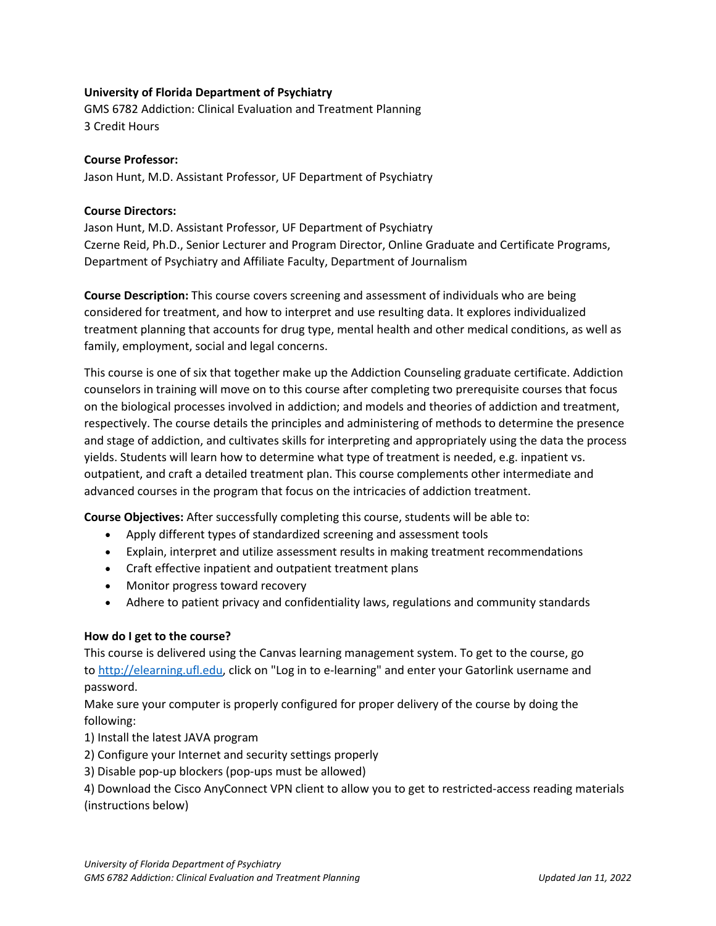### **University of Florida Department of Psychiatry**

GMS 6782 Addiction: Clinical Evaluation and Treatment Planning 3 Credit Hours

### **Course Professor:**

Jason Hunt, M.D. Assistant Professor, UF Department of Psychiatry

### **Course Directors:**

Jason Hunt, M.D. Assistant Professor, UF Department of Psychiatry Czerne Reid, Ph.D., Senior Lecturer and Program Director, Online Graduate and Certificate Programs, Department of Psychiatry and Affiliate Faculty, Department of Journalism

**Course Description:** This course covers screening and assessment of individuals who are being considered for treatment, and how to interpret and use resulting data. It explores individualized treatment planning that accounts for drug type, mental health and other medical conditions, as well as family, employment, social and legal concerns.

This course is one of six that together make up the Addiction Counseling graduate certificate. Addiction counselors in training will move on to this course after completing two prerequisite courses that focus on the biological processes involved in addiction; and models and theories of addiction and treatment, respectively. The course details the principles and administering of methods to determine the presence and stage of addiction, and cultivates skills for interpreting and appropriately using the data the process yields. Students will learn how to determine what type of treatment is needed, e.g. inpatient vs. outpatient, and craft a detailed treatment plan. This course complements other intermediate and advanced courses in the program that focus on the intricacies of addiction treatment.

**Course Objectives:** After successfully completing this course, students will be able to:

- Apply different types of standardized screening and assessment tools
- Explain, interpret and utilize assessment results in making treatment recommendations
- Craft effective inpatient and outpatient treatment plans
- Monitor progress toward recovery
- Adhere to patient privacy and confidentiality laws, regulations and community standards

### **How do I get to the course?**

This course is delivered using the Canvas learning management system. To get to the course, go to [http://elearning.ufl.edu,](http://elearning.ufl.edu/) click on "Log in to e-learning" and enter your Gatorlink username and password.

Make sure your computer is properly configured for proper delivery of the course by doing the following:

1) Install the latest JAVA program

- 2) Configure your Internet and security settings properly
- 3) Disable pop-up blockers (pop-ups must be allowed)

4) Download the Cisco AnyConnect VPN client to allow you to get to restricted-access reading materials (instructions below)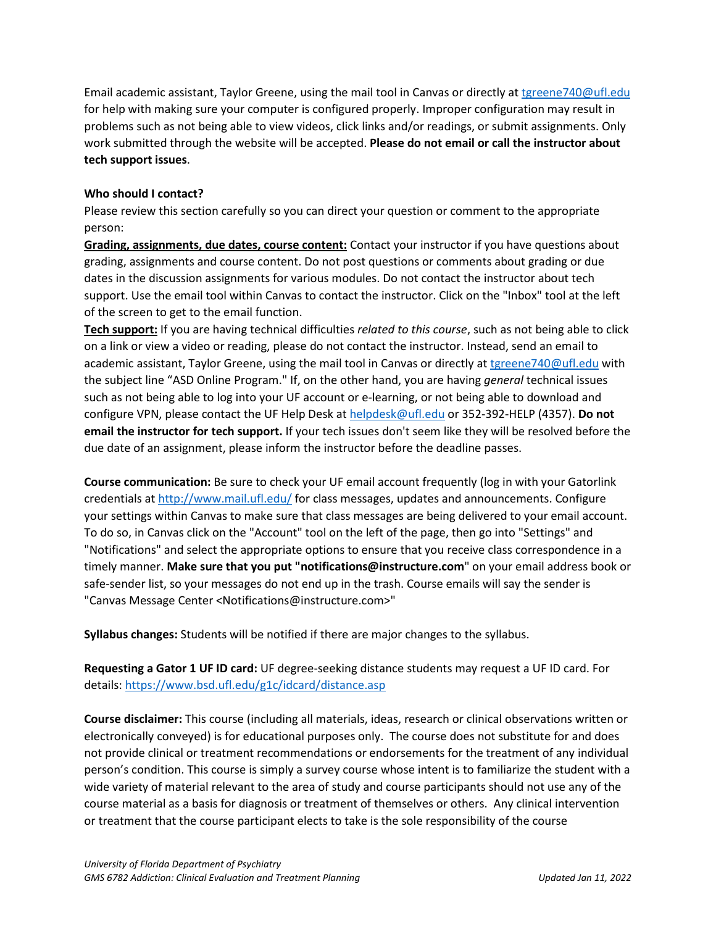Email academic assistant, Taylor Greene, using the mail tool in Canvas or directly at [tgreene740@ufl.edu](mailto:tgreene740@ufl.edu) for help with making sure your computer is configured properly. Improper configuration may result in problems such as not being able to view videos, click links and/or readings, or submit assignments. Only work submitted through the website will be accepted. **Please do not email or call the instructor about tech support issues**.

## **Who should I contact?**

Please review this section carefully so you can direct your question or comment to the appropriate person:

**Grading, assignments, due dates, course content:** Contact your instructor if you have questions about grading, assignments and course content. Do not post questions or comments about grading or due dates in the discussion assignments for various modules. Do not contact the instructor about tech support. Use the email tool within Canvas to contact the instructor. Click on the "Inbox" tool at the left of the screen to get to the email function.

**Tech support:** If you are having technical difficulties *related to this course*, such as not being able to click on a link or view a video or reading, please do not contact the instructor. Instead, send an email to academic assistant, Taylor Greene, using the mail tool in Canvas or directly at [tgreene740@ufl.edu](mailto:tgreene740@ufl.edu) with the subject line "ASD Online Program." If, on the other hand, you are having *general* technical issues such as not being able to log into your UF account or e-learning, or not being able to download and configure VPN, please contact the UF Help Desk at [helpdesk@ufl.edu](mailto:helpdesk@ufl.edu) or 352-392-HELP (4357). **Do not email the instructor for tech support.** If your tech issues don't seem like they will be resolved before the due date of an assignment, please inform the instructor before the deadline passes.

**Course communication:** Be sure to check your UF email account frequently (log in with your Gatorlink credentials at [http://www.mail.ufl.edu/](http://www.mail.ufl.edu/)) for class messages, updates and announcements. Configure your settings within Canvas to make sure that class messages are being delivered to your email account. To do so, in Canvas click on the "Account" tool on the left of the page, then go into "Settings" and "Notifications" and select the appropriate options to ensure that you receive class correspondence in a timely manner. **Make sure that you put "notifications@instructure.com**" on your email address book or safe-sender list, so your messages do not end up in the trash. Course emails will say the sender is "Canvas Message Center <Notifications@instructure.com>"

**Syllabus changes:** Students will be notified if there are major changes to the syllabus.

**Requesting a Gator 1 UF ID card:** UF degree-seeking distance students may request a UF ID card. For details:<https://www.bsd.ufl.edu/g1c/idcard/distance.asp>

**Course disclaimer:** This course (including all materials, ideas, research or clinical observations written or electronically conveyed) is for educational purposes only. The course does not substitute for and does not provide clinical or treatment recommendations or endorsements for the treatment of any individual person's condition. This course is simply a survey course whose intent is to familiarize the student with a wide variety of material relevant to the area of study and course participants should not use any of the course material as a basis for diagnosis or treatment of themselves or others. Any clinical intervention or treatment that the course participant elects to take is the sole responsibility of the course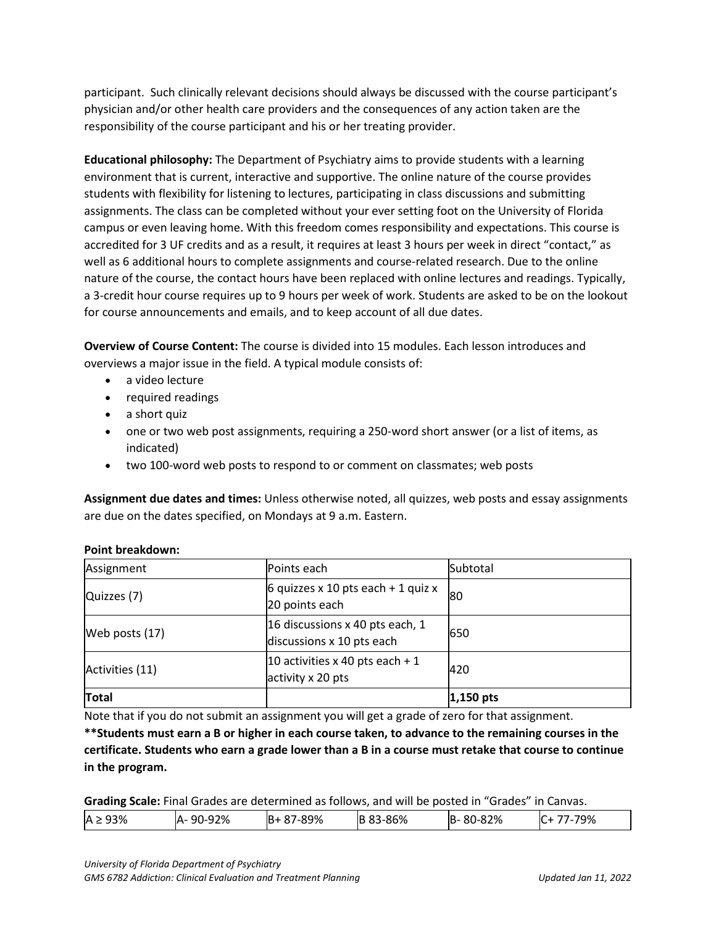participant. Such clinically relevant decisions should always be discussed with the course participant's physician and/or other health care providers and the consequences of any action taken are the responsibility of the course participant and his or her treating provider.

**Educational philosophy:** The Department of Psychiatry aims to provide students with a learning environment that is current, interactive and supportive. The online nature of the course provides students with flexibility for listening to lectures, participating in class discussions and submitting assignments. The class can be completed without your ever setting foot on the University of Florida campus or even leaving home. With this freedom comes responsibility and expectations. This course is accredited for 3 UF credits and as a result, it requires at least 3 hours per week in direct "contact," as well as 6 additional hours to complete assignments and course-related research. Due to the online nature of the course, the contact hours have been replaced with online lectures and readings. Typically, a 3-credit hour course requires up to 9 hours per week of work. Students are asked to be on the lookout for course announcements and emails, and to keep account of all due dates.

**Overview of Course Content:** The course is divided into 15 modules. Each lesson introduces and overviews a major issue in the field. A typical module consists of:

- a video lecture
- required readings
- a short quiz
- one or two web post assignments, requiring a 250-word short answer (or a list of items, as indicated)
- two 100-word web posts to respond to or comment on classmates; web posts

**Assignment due dates and times:** Unless otherwise noted, all quizzes, web posts and essay assignments are due on the dates specified, on Mondays at 9 a.m. Eastern.

| Assignment      | Points each                                                  | Subtotal    |
|-----------------|--------------------------------------------------------------|-------------|
| Quizzes (7)     | 6 quizzes x 10 pts each + 1 quiz x<br>20 points each         | 180         |
| Web posts (17)  | 16 discussions x 40 pts each, 1<br>discussions x 10 pts each | 650         |
| Activities (11) | 10 activities x 40 pts each + 1<br>activity x 20 pts         | 420         |
| <b>Total</b>    |                                                              | $1,150$ pts |

### **Point breakdown:**

Note that if you do not submit an assignment you will get a grade of zero for that assignment.

**\*\*Students must earn a B or higher in each course taken, to advance to the remaining courses in the certificate. Students who earn a grade lower than a B in a course must retake that course to continue in the program.**

**Grading Scale:** Final Grades are determined as follows, and will be posted in "Grades" in Canvas.

| 93%<br>$\Lambda$ : | 92%<br>90-9<br>ıΔ. | 89%<br>ıв | 86%<br>IE | 82%<br>IB·<br>ou-o | 79%<br>ີ |
|--------------------|--------------------|-----------|-----------|--------------------|----------|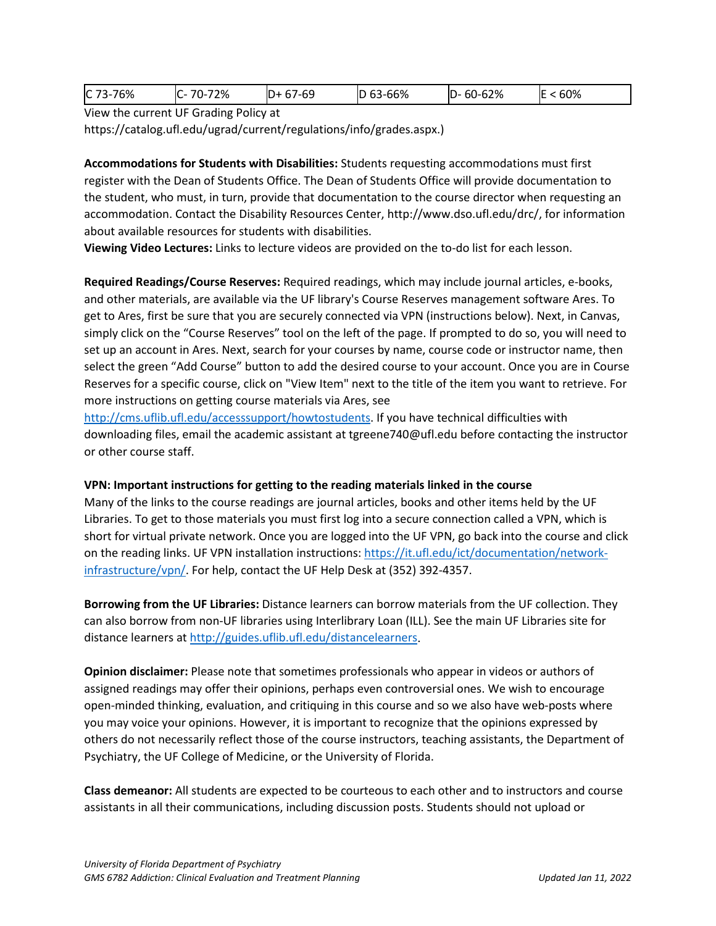| 60-62%<br>60%<br>63-66%<br>C 73-76%<br>72%<br>7-69<br>⇁⌒<br>ID-<br>C-<br>ID<br>IL<br>-<br>--<br>ᄔ<br>ν, |
|---------------------------------------------------------------------------------------------------------|
|---------------------------------------------------------------------------------------------------------|

View the current UF Grading Policy at

https://catalog.ufl.edu/ugrad/current/regulations/info/grades.aspx.)

**Accommodations for Students with Disabilities:** Students requesting accommodations must first register with the Dean of Students Office. The Dean of Students Office will provide documentation to the student, who must, in turn, provide that documentation to the course director when requesting an accommodation. Contact the Disability Resources Center, http://www.dso.ufl.edu/drc/, for information about available resources for students with disabilities.

**Viewing Video Lectures:** Links to lecture videos are provided on the to-do list for each lesson.

**Required Readings/Course Reserves:** Required readings, which may include journal articles, e-books, and other materials, are available via the UF library's Course Reserves management software Ares. To get to Ares, first be sure that you are securely connected via VPN (instructions below). Next, in Canvas, simply click on the "Course Reserves" tool on the left of the page. If prompted to do so, you will need to set up an account in Ares. Next, search for your courses by name, course code or instructor name, then select the green "Add Course" button to add the desired course to your account. Once you are in Course Reserves for a specific course, click on "View Item" next to the title of the item you want to retrieve. For more instructions on getting course materials via Ares, see

[http://cms.uflib.ufl.edu/accesssupport/howtostudents.](http://cms.uflib.ufl.edu/accesssupport/howtostudents) If you have technical difficulties with downloading files, email the academic assistant at tgreene740@ufl.edu before contacting the instructor or other course staff.

### **VPN: Important instructions for getting to the reading materials linked in the course**

Many of the links to the course readings are journal articles, books and other items held by the UF Libraries. To get to those materials you must first log into a secure connection called a VPN, which is short for virtual private network. Once you are logged into the UF VPN, go back into the course and click on the reading links. UF VPN installation instructions[: https://it.ufl.edu/ict/documentation/network](https://it.ufl.edu/ict/documentation/network-infrastructure/vpn/)[infrastructure/vpn/.](https://it.ufl.edu/ict/documentation/network-infrastructure/vpn/) For help, contact the UF Help Desk at (352) 392-4357.

**Borrowing from the UF Libraries:** Distance learners can borrow materials from the UF collection. They can also borrow from non-UF libraries using Interlibrary Loan (ILL). See the main UF Libraries site for distance learners at [http://guides.uflib.ufl.edu/distancelearners.](http://guides.uflib.ufl.edu/distancelearners)

**Opinion disclaimer:** Please note that sometimes professionals who appear in videos or authors of assigned readings may offer their opinions, perhaps even controversial ones. We wish to encourage open-minded thinking, evaluation, and critiquing in this course and so we also have web-posts where you may voice your opinions. However, it is important to recognize that the opinions expressed by others do not necessarily reflect those of the course instructors, teaching assistants, the Department of Psychiatry, the UF College of Medicine, or the University of Florida.

**Class demeanor:** All students are expected to be courteous to each other and to instructors and course assistants in all their communications, including discussion posts. Students should not upload or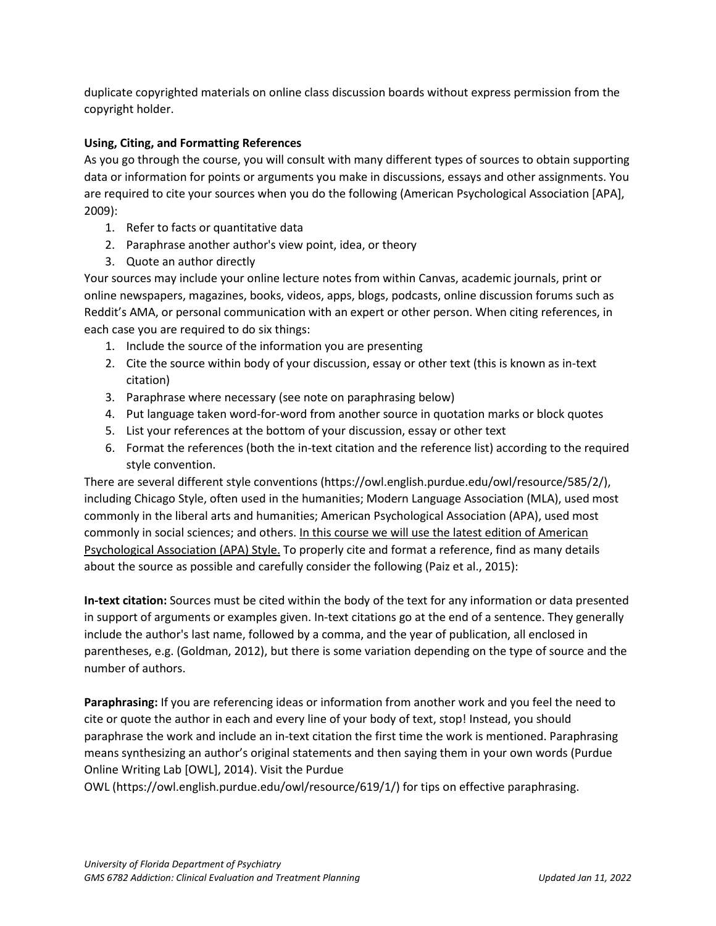duplicate copyrighted materials on online class discussion boards without express permission from the copyright holder.

# **Using, Citing, and Formatting References**

As you go through the course, you will consult with many different types of sources to obtain supporting data or information for points or arguments you make in discussions, essays and other assignments. You are required to cite your sources when you do the following (American Psychological Association [APA], 2009):

- 1. Refer to facts or quantitative data
- 2. Paraphrase another author's view point, idea, or theory
- 3. Quote an author directly

Your sources may include your online lecture notes from within Canvas, academic journals, print or online newspapers, magazines, books, videos, apps, blogs, podcasts, online discussion forums such as Reddit's AMA, or personal communication with an expert or other person. When citing references, in each case you are required to do six things:

- 1. Include the source of the information you are presenting
- 2. Cite the source within body of your discussion, essay or other text (this is known as in-text citation)
- 3. Paraphrase where necessary (see note on paraphrasing below)
- 4. Put language taken word-for-word from another source in quotation marks or block quotes
- 5. List your references at the bottom of your discussion, essay or other text
- 6. Format the references (both the in-text citation and the reference list) according to the required style convention.

There are several different style conventions (https://owl.english.purdue.edu/owl/resource/585/2/), including Chicago Style, often used in the humanities; Modern Language Association (MLA), used most commonly in the liberal arts and humanities; American Psychological Association (APA), used most commonly in social sciences; and others. In this course we will use the latest edition of American Psychological Association (APA) Style. To properly cite and format a reference, find as many details about the source as possible and carefully consider the following (Paiz et al., 2015):

**In-text citation:** Sources must be cited within the body of the text for any information or data presented in support of arguments or examples given. In-text citations go at the end of a sentence. They generally include the author's last name, followed by a comma, and the year of publication, all enclosed in parentheses, e.g. (Goldman, 2012), but there is some variation depending on the type of source and the number of authors.

**Paraphrasing:** If you are referencing ideas or information from another work and you feel the need to cite or quote the author in each and every line of your body of text, stop! Instead, you should paraphrase the work and include an in-text citation the first time the work is mentioned. Paraphrasing means synthesizing an author's original statements and then saying them in your own words (Purdue Online Writing Lab [OWL], 2014). Visit the Purdue

OWL (https://owl.english.purdue.edu/owl/resource/619/1/) for tips on effective paraphrasing.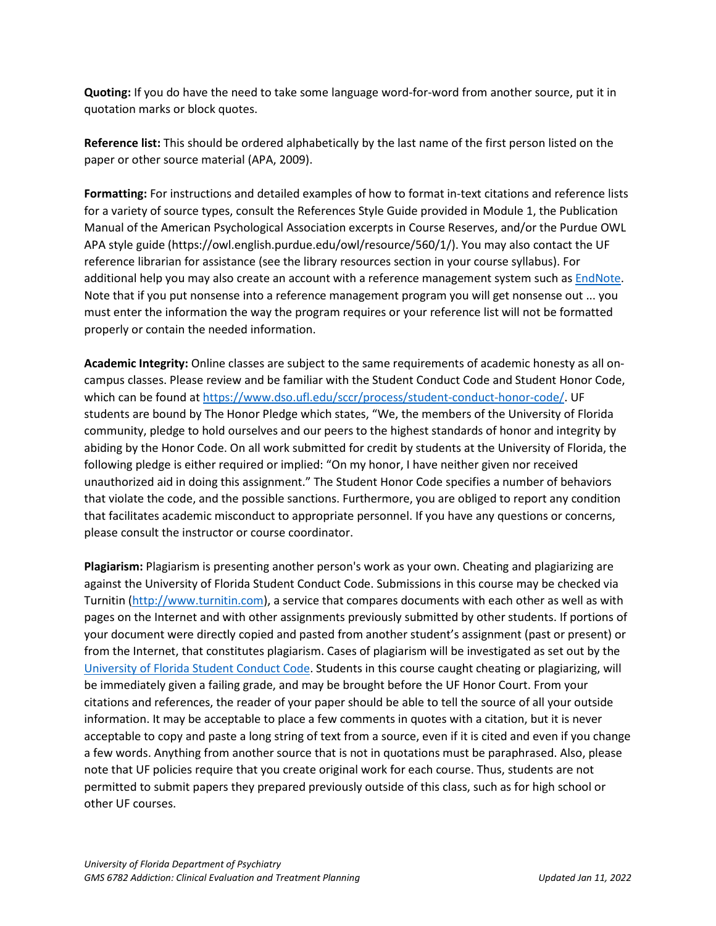**Quoting:** If you do have the need to take some language word-for-word from another source, put it in quotation marks or block quotes.

**Reference list:** This should be ordered alphabetically by the last name of the first person listed on the paper or other source material (APA, 2009).

**Formatting:** For instructions and detailed examples of how to format in-text citations and reference lists for a variety of source types, consult the References Style Guide provided in Module 1, the Publication Manual of the American Psychological Association excerpts in Course Reserves, and/or the Purdue OWL APA style guide (https://owl.english.purdue.edu/owl/resource/560/1/). You may also contact the UF reference librarian for assistance (see the library resources section in your course syllabus). For additional help you may also create an account with a reference management system such as [EndNote.](https://guides.uflib.ufl.edu/endnote) Note that if you put nonsense into a reference management program you will get nonsense out ... you must enter the information the way the program requires or your reference list will not be formatted properly or contain the needed information.

**Academic Integrity:** Online classes are subject to the same requirements of academic honesty as all oncampus classes. Please review and be familiar with the Student Conduct Code and Student Honor Code, which can be found a[t https://www.dso.ufl.edu/sccr/process/student-conduct-honor-code/.](https://www.dso.ufl.edu/sccr/process/student-conduct-honor-code/) UF students are bound by The Honor Pledge which states, "We, the members of the University of Florida community, pledge to hold ourselves and our peers to the highest standards of honor and integrity by abiding by the Honor Code. On all work submitted for credit by students at the University of Florida, the following pledge is either required or implied: "On my honor, I have neither given nor received unauthorized aid in doing this assignment." The Student Honor Code specifies a number of behaviors that violate the code, and the possible sanctions. Furthermore, you are obliged to report any condition that facilitates academic misconduct to appropriate personnel. If you have any questions or concerns, please consult the instructor or course coordinator.

**Plagiarism:** Plagiarism is presenting another person's work as your own. Cheating and plagiarizing are against the University of Florida Student Conduct Code. Submissions in this course may be checked via Turnitin [\(http://www.turnitin.com\)](http://www.turnitin.com/), a service that compares documents with each other as well as with pages on the Internet and with other assignments previously submitted by other students. If portions of your document were directly copied and pasted from another student's assignment (past or present) or from the Internet, that constitutes plagiarism. Cases of plagiarism will be investigated as set out by the [University of Florida Student Conduct Code.](https://sccr.dso.ufl.edu/) Students in this course caught cheating or plagiarizing, will be immediately given a failing grade, and may be brought before the UF Honor Court. From your citations and references, the reader of your paper should be able to tell the source of all your outside information. It may be acceptable to place a few comments in quotes with a citation, but it is never acceptable to copy and paste a long string of text from a source, even if it is cited and even if you change a few words. Anything from another source that is not in quotations must be paraphrased. Also, please note that UF policies require that you create original work for each course. Thus, students are not permitted to submit papers they prepared previously outside of this class, such as for high school or other UF courses.